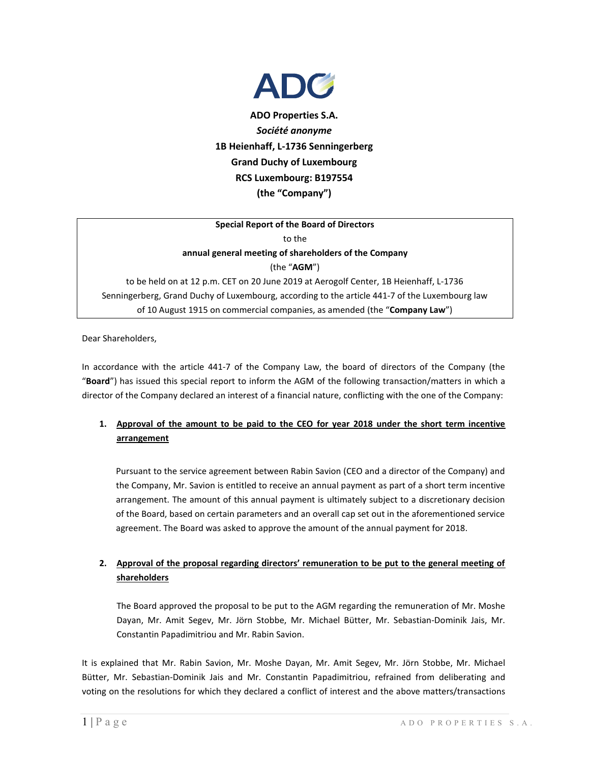

**ADO Properties S.A.** *Société anonyme* **1B Heienhaff, L-1736 Senningerberg Grand Duchy of Luxembourg RCS Luxembourg: B197554 (the "Company")**

## **Special Report of the Board of Directors** to the

**annual general meeting of shareholders of the Company** (the "**AGM**")

to be held on at 12 p.m. CET on 20 June 2019 at Aerogolf Center, 1B Heienhaff, L-1736 Senningerberg, Grand Duchy of Luxembourg, according to the article 441-7 of the Luxembourg law of 10 August 1915 on commercial companies, as amended (the "**Company Law**")

Dear Shareholders,

In accordance with the article 441-7 of the Company Law, the board of directors of the Company (the "**Board**") has issued this special report to inform the AGM of the following transaction/matters in which a director of the Company declared an interest of a financial nature, conflicting with the one of the Company:

## **1. Approval of the amount to be paid to the CEO for year 2018 under the short term incentive arrangement**

Pursuant to the service agreement between Rabin Savion (CEO and a director of the Company) and the Company, Mr. Savion is entitled to receive an annual payment as part of a short term incentive arrangement. The amount of this annual payment is ultimately subject to a discretionary decision of the Board, based on certain parameters and an overall cap set out in the aforementioned service agreement. The Board was asked to approve the amount of the annual payment for 2018.

## **2. Approval of the proposal regarding directors' remuneration to be put to the general meeting of shareholders**

The Board approved the proposal to be put to the AGM regarding the remuneration of Mr. Moshe Dayan, Mr. Amit Segev, Mr. Jörn Stobbe, Mr. Michael Bütter, Mr. Sebastian-Dominik Jais, Mr. Constantin Papadimitriou and Mr. Rabin Savion.

It is explained that Mr. Rabin Savion, Mr. Moshe Dayan, Mr. Amit Segev, Mr. Jörn Stobbe, Mr. Michael Bütter, Mr. Sebastian-Dominik Jais and Mr. Constantin Papadimitriou, refrained from deliberating and voting on the resolutions for which they declared a conflict of interest and the above matters/transactions